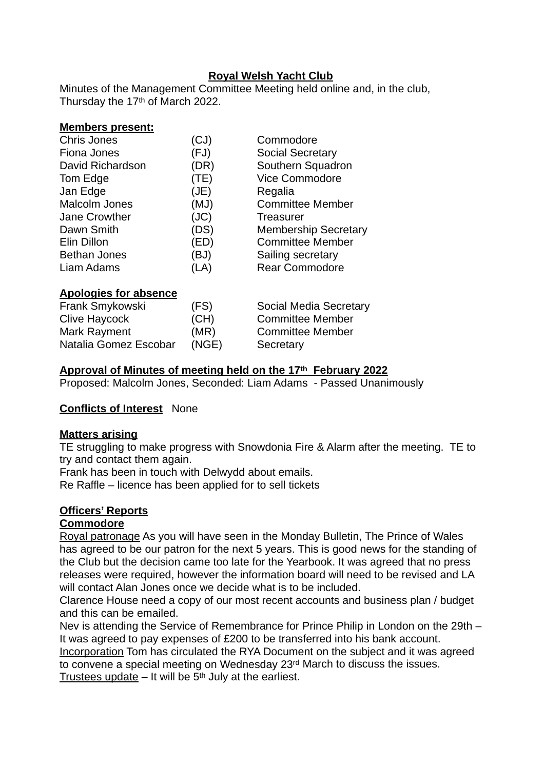# **Royal Welsh Yacht Club**

Minutes of the Management Committee Meeting held online and, in the club, Thursday the 17<sup>th</sup> of March 2022.

|        |  | <b>Members present:</b> |
|--------|--|-------------------------|
| $\sim$ |  |                         |

| <b>Chris Jones</b>           | (CJ) | Commodore                   |
|------------------------------|------|-----------------------------|
| Fiona Jones                  | (FJ) | <b>Social Secretary</b>     |
| David Richardson             | (DR) | Southern Squadron           |
| Tom Edge                     | (TE) | Vice Commodore              |
| Jan Edge                     | (JE) | Regalia                     |
| <b>Malcolm Jones</b>         | (MJ) | <b>Committee Member</b>     |
| Jane Crowther                | (JC) | Treasurer                   |
| Dawn Smith                   | (DS) | <b>Membership Secretary</b> |
| Elin Dillon                  | (ED) | <b>Committee Member</b>     |
| <b>Bethan Jones</b>          | (BJ) | Sailing secretary           |
| Liam Adams                   | (LA) | <b>Rear Commodore</b>       |
| <b>Apologies for absence</b> |      |                             |
| Frank Smykowski              | (FS) | Social Media Secretary      |
| <b>Clive Haycock</b>         | (CH) | <b>Committee Member</b>     |
| <b>Mark Rayment</b>          | (MR) | <b>Committee Member</b>     |

#### **Approval of Minutes of meeting held on the 17th February 2022**

Proposed: Malcolm Jones, Seconded: Liam Adams - Passed Unanimously

#### **Conflicts of Interest** None

#### **Matters arising**

TE struggling to make progress with Snowdonia Fire & Alarm after the meeting. TE to try and contact them again.

Frank has been in touch with Delwydd about emails.

Natalia Gomez Escobar (NGE) Secretary

Re Raffle – licence has been applied for to sell tickets

## **Officers' Reports**

#### **Commodore**

Royal patronage As you will have seen in the Monday Bulletin, The Prince of Wales has agreed to be our patron for the next 5 years. This is good news for the standing of the Club but the decision came too late for the Yearbook. It was agreed that no press releases were required, however the information board will need to be revised and LA will contact Alan Jones once we decide what is to be included.

Clarence House need a copy of our most recent accounts and business plan / budget and this can be emailed.

Nev is attending the Service of Remembrance for Prince Philip in London on the 29th – It was agreed to pay expenses of £200 to be transferred into his bank account. Incorporation Tom has circulated the RYA Document on the subject and it was agreed to convene a special meeting on Wednesday 23rd March to discuss the issues. Trustees update  $-$  It will be  $5<sup>th</sup>$  July at the earliest.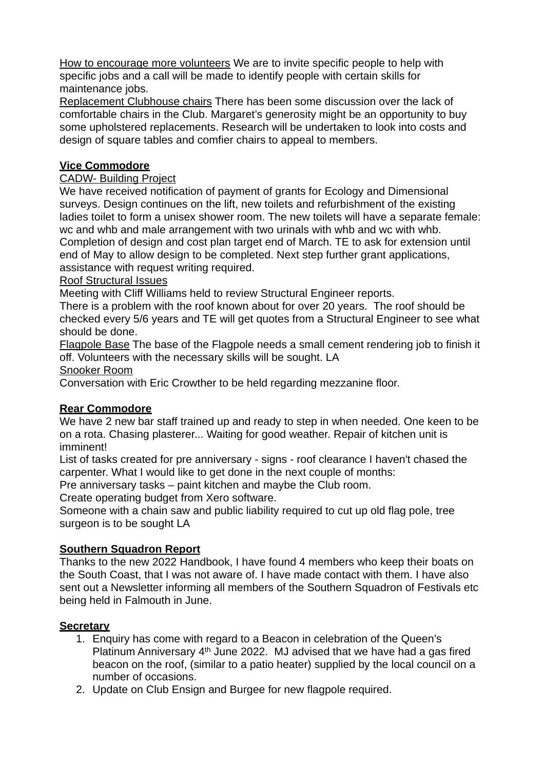How to encourage more volunteers We are to invite specific people to help with specific jobs and a call will be made to identify people with certain skills for maintenance jobs.

Replacement Clubhouse chairs There has been some discussion over the lack of comfortable chairs in the Club. Margaret's generosity might be an opportunity to buy some upholstered replacements. Research will be undertaken to look into costs and design of square tables and comfier chairs to appeal to members.

## **Vice Commodore**

## CADW- Building Project

We have received notification of payment of grants for Ecology and Dimensional surveys. Design continues on the lift, new toilets and refurbishment of the existing ladies toilet to form a unisex shower room. The new toilets will have a separate female: wc and whb and male arrangement with two urinals with whb and wc with whb. Completion of design and cost plan target end of March. TE to ask for extension until end of May to allow design to be completed. Next step further grant applications, assistance with request writing required.

## Roof Structural Issues

Meeting with Cliff Williams held to review Structural Engineer reports.

There is a problem with the roof known about for over 20 years. The roof should be checked every 5/6 years and TE will get quotes from a Structural Engineer to see what should be done.

Flagpole Base The base of the Flagpole needs a small cement rendering job to finish it off. Volunteers with the necessary skills will be sought. LA

Snooker Room

Conversation with Eric Crowther to be held regarding mezzanine floor.

# **Rear Commodore**

We have 2 new bar staff trained up and ready to step in when needed. One keen to be on a rota. Chasing plasterer... Waiting for good weather. Repair of kitchen unit is imminent!

List of tasks created for pre anniversary - signs - roof clearance I haven't chased the carpenter. What I would like to get done in the next couple of months:

Pre anniversary tasks – paint kitchen and maybe the Club room.

Create operating budget from Xero software.

Someone with a chain saw and public liability required to cut up old flag pole, tree surgeon is to be sought LA

# **Southern Squadron Report**

Thanks to the new 2022 Handbook, I have found 4 members who keep their boats on the South Coast, that I was not aware of. I have made contact with them. I have also sent out a Newsletter informing all members of the Southern Squadron of Festivals etc being held in Falmouth in June.

## **Secretary**

- 1. Enquiry has come with regard to a Beacon in celebration of the Queen's Platinum Anniversary 4<sup>th</sup> June 2022. MJ advised that we have had a gas fired beacon on the roof, (similar to a patio heater) supplied by the local council on a number of occasions.
- 2. Update on Club Ensign and Burgee for new flagpole required.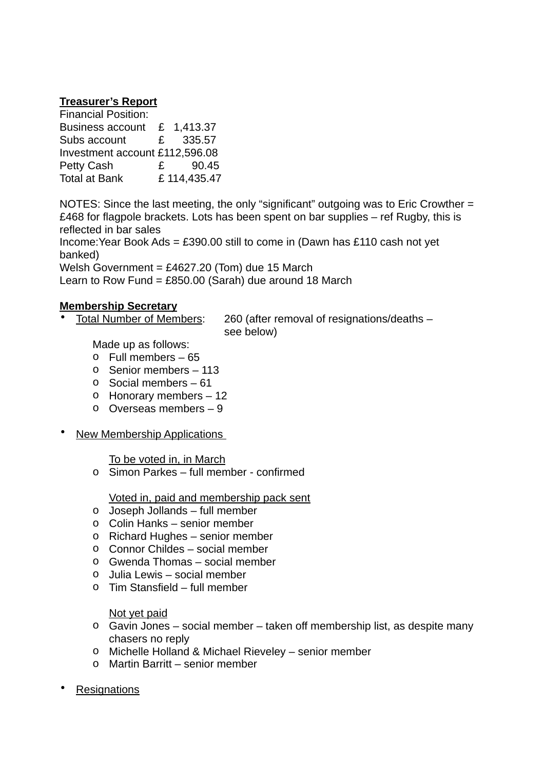### **Treasurer's Report**

| <b>Financial Position:</b>     |              |             |
|--------------------------------|--------------|-------------|
| <b>Business account</b>        |              | £ 1,413.37  |
| Subs account                   |              | £ 335.57    |
| Investment account £112,596.08 |              |             |
| <b>Petty Cash</b>              | $\mathbf{f}$ | 90.45       |
| <b>Total at Bank</b>           |              | £114,435.47 |

NOTES: Since the last meeting, the only "significant" outgoing was to Eric Crowther = £468 for flagpole brackets. Lots has been spent on bar supplies – ref Rugby, this is reflected in bar sales

Income:Year Book Ads = £390.00 still to come in (Dawn has £110 cash not yet banked)

Welsh Government =  $£4627.20$  (Tom) due 15 March

Learn to Row Fund =  $£850.00$  (Sarah) due around 18 March

#### **Membership Secretary**

• Total Number of Members: 260 (after removal of resignations/deaths – see below)

Made up as follows:

- o Full members 65
- o Senior members 113
- o Social members 61
- o Honorary members 12
- o Overseas members 9
- New Membership Applications

To be voted in, in March

o Simon Parkes – full member - confirmed

Voted in, paid and membership pack sent

- o Joseph Jollands full member
- o Colin Hanks senior member
- o Richard Hughes senior member
- o Connor Childes social member
- o Gwenda Thomas social member
- o Julia Lewis social member
- o Tim Stansfield full member

Not yet paid

- o Gavin Jones social member taken off membership list, as despite many chasers no reply
- o Michelle Holland & Michael Rieveley senior member
- o Martin Barritt senior member

**Resignations**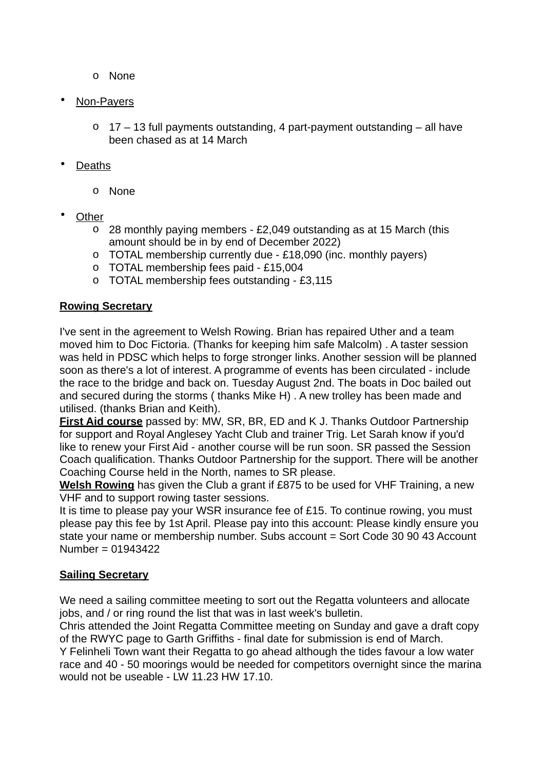- o None
- Non-Payers
	- o 17 13 full payments outstanding, 4 part-payment outstanding all have been chased as at 14 March
- Deaths
	- o None
- **Other** 
	- o 28 monthly paying members £2,049 outstanding as at 15 March (this amount should be in by end of December 2022)
	- o TOTAL membership currently due £18,090 (inc. monthly payers)
	- o TOTAL membership fees paid £15,004
	- o TOTAL membership fees outstanding £3,115

## **Rowing Secretary**

I've sent in the agreement to Welsh Rowing. Brian has repaired Uther and a team moved him to Doc Fictoria. (Thanks for keeping him safe Malcolm) . A taster session was held in PDSC which helps to forge stronger links. Another session will be planned soon as there's a lot of interest. A programme of events has been circulated - include the race to the bridge and back on. Tuesday August 2nd. The boats in Doc bailed out and secured during the storms ( thanks Mike H) . A new trolley has been made and utilised. (thanks Brian and Keith).

**First Aid course** passed by: MW, SR, BR, ED and K J. Thanks Outdoor Partnership for support and Royal Anglesey Yacht Club and trainer Trig. Let Sarah know if you'd like to renew your First Aid - another course will be run soon. SR passed the Session Coach qualification. Thanks Outdoor Partnership for the support. There will be another Coaching Course held in the North, names to SR please.

**Welsh Rowing** has given the Club a grant if £875 to be used for VHF Training, a new VHF and to support rowing taster sessions.

It is time to please pay your WSR insurance fee of £15. To continue rowing, you must please pay this fee by 1st April. Please pay into this account: Please kindly ensure you state your name or membership number. Subs account = Sort Code 30 90 43 Account Number = 01943422

## **Sailing Secretary**

We need a sailing committee meeting to sort out the Regatta volunteers and allocate jobs, and / or ring round the list that was in last week's bulletin.

Chris attended the Joint Regatta Committee meeting on Sunday and gave a draft copy of the RWYC page to Garth Griffiths - final date for submission is end of March. Y Felinheli Town want their Regatta to go ahead although the tides favour a low water race and 40 - 50 moorings would be needed for competitors overnight since the marina would not be useable - LW 11.23 HW 17.10.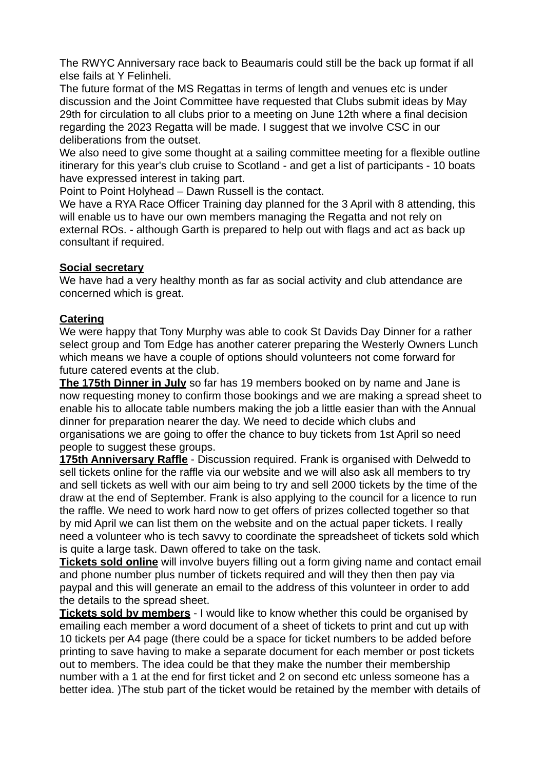The RWYC Anniversary race back to Beaumaris could still be the back up format if all else fails at Y Felinheli.

The future format of the MS Regattas in terms of length and venues etc is under discussion and the Joint Committee have requested that Clubs submit ideas by May 29th for circulation to all clubs prior to a meeting on June 12th where a final decision regarding the 2023 Regatta will be made. I suggest that we involve CSC in our deliberations from the outset.

We also need to give some thought at a sailing committee meeting for a flexible outline itinerary for this year's club cruise to Scotland - and get a list of participants - 10 boats have expressed interest in taking part.

Point to Point Holyhead – Dawn Russell is the contact.

We have a RYA Race Officer Training day planned for the 3 April with 8 attending, this will enable us to have our own members managing the Regatta and not rely on external ROs. - although Garth is prepared to help out with flags and act as back up consultant if required.

## **Social secretary**

We have had a very healthy month as far as social activity and club attendance are concerned which is great.

## **Catering**

We were happy that Tony Murphy was able to cook St Davids Day Dinner for a rather select group and Tom Edge has another caterer preparing the Westerly Owners Lunch which means we have a couple of options should volunteers not come forward for future catered events at the club.

**The 175th Dinner in July** so far has 19 members booked on by name and Jane is now requesting money to confirm those bookings and we are making a spread sheet to enable his to allocate table numbers making the job a little easier than with the Annual dinner for preparation nearer the day. We need to decide which clubs and organisations we are going to offer the chance to buy tickets from 1st April so need people to suggest these groups.

**175th Anniversary Raffle** - Discussion required. Frank is organised with Delwedd to sell tickets online for the raffle via our website and we will also ask all members to try and sell tickets as well with our aim being to try and sell 2000 tickets by the time of the draw at the end of September. Frank is also applying to the council for a licence to run the raffle. We need to work hard now to get offers of prizes collected together so that by mid April we can list them on the website and on the actual paper tickets. I really need a volunteer who is tech savvy to coordinate the spreadsheet of tickets sold which is quite a large task. Dawn offered to take on the task.

**Tickets sold online** will involve buyers filling out a form giving name and contact email and phone number plus number of tickets required and will they then then pay via paypal and this will generate an email to the address of this volunteer in order to add the details to the spread sheet.

**Tickets sold by members** - I would like to know whether this could be organised by emailing each member a word document of a sheet of tickets to print and cut up with 10 tickets per A4 page (there could be a space for ticket numbers to be added before printing to save having to make a separate document for each member or post tickets out to members. The idea could be that they make the number their membership number with a 1 at the end for first ticket and 2 on second etc unless someone has a better idea. )The stub part of the ticket would be retained by the member with details of